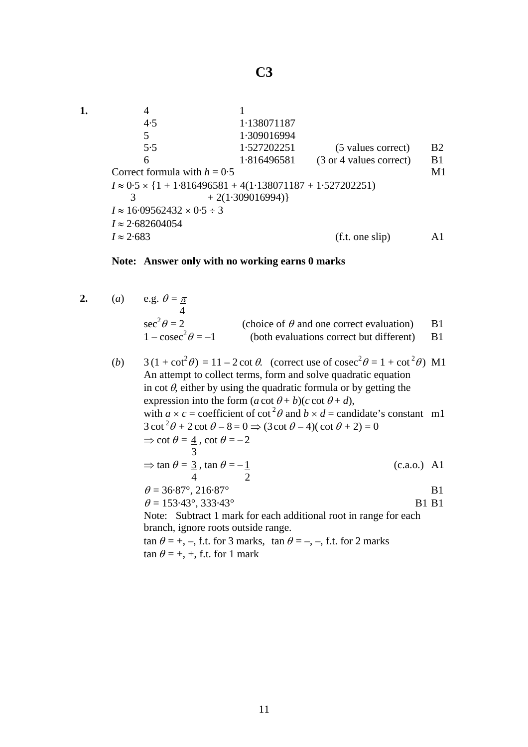**1.** 4 1 4·5 1·138071187 5 1·309016994 5·5 1·527202251 (5 values correct) B2 6 1·816496581 (3 or 4 values correct) B1 Correct formula with  $h = 0.5$  M1  $I \approx 0.5 \times \{1 + 1.816496581 + 4(1.138071187 + 1.527202251)\}$ 3  $+2(1.309016994)$  $I \approx 16.09562432 \times 0.5 \div 3$ *I* ≈ 2·682604054  $I \approx 2.683$  (f.t. one slip) A1

## **Note: Answer only with no working earns 0 marks**

- **2.** (*a*) e.g.  $\theta = \pi$ 4 sec 2 (choice of  $\theta$  and one correct evaluation) B1  $1 - \csc^2 \theta = -1$ (both evaluations correct but different)  $B1$ 
	- (*b*)  $3(1 + \cot^2 \theta) = 11 2 \cot \theta$ . (correct use of  $\csc^2 \theta = 1 + \cot^2 \theta$ ) M1 An attempt to collect terms, form and solve quadratic equation in cot  $\theta$ , either by using the quadratic formula or by getting the expression into the form  $(a \cot \theta + b)(c \cot \theta + d)$ , with  $a \times c$  = coefficient of cot<sup>2</sup> $\theta$  and  $b \times d$  = candidate's constant m1  $3 \cot^2 \theta + 2 \cot \theta - 8 = 0 \Rightarrow (3 \cot \theta - 4)(\cot \theta + 2) = 0$  $\Rightarrow$  cot  $\theta = \frac{4}{5}$ , cot  $\theta = -2$  3  $\Rightarrow$  tan  $\theta = 3$ , tan  $\theta = -1$  (c.a.o.) A1 4 2  $\theta = 36.87^{\circ}, 216.87^{\circ}$  B1  $\theta = 153.43^{\circ}, 333.43^{\circ}$  B1 B1 Note: Subtract 1 mark for each additional root in range for each branch, ignore roots outside range. tan  $\theta = +, -$ , f.t. for 3 marks, tan  $\theta = -, -$ , f.t. for 2 marks  $\tan \theta = +, +,$  f.t. for 1 mark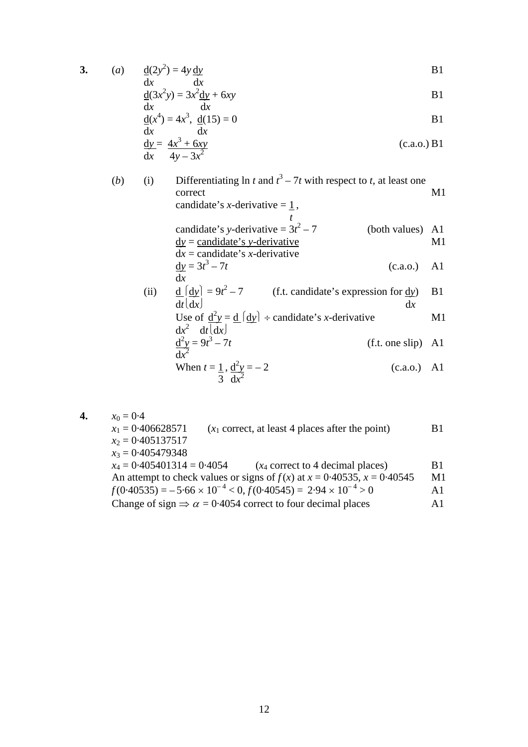$$
3. \hspace{20pt} (a
$$

a) 
$$
\frac{d(2y^2)}{dx} = 4y \frac{dy}{dx}
$$
 B1

$$
\underline{d}(3x^2y) = 3x^2 \underline{dy} + 6xy
$$
  
dx  

$$
\underline{dx}
$$
  
14<sup>4</sup> + 4<sup>3</sup> + 4<sup>3</sup> + 4<sup>3</sup> + 4<sup>3</sup> + 4<sup>3</sup> + 4<sup>3</sup> + 4<sup>3</sup> + 4<sup>3</sup> + 4<sup>3</sup> + 4<sup>3</sup> + 4<sup>3</sup> + 4<sup>3</sup> + 4<sup>3</sup> + 4<sup>3</sup> + 4<sup>3</sup> + 4<sup>3</sup> + 4<sup>3</sup> + 4<sup>3</sup> + 4<sup>3</sup> + 4<sup>3</sup> + 4<sup>3</sup> + 4<sup>3</sup> + 4<sup>3</sup> + 4<sup>3</sup> + 4<sup>3</sup> + 4<sup>3</sup> + 4<sup>3</sup> + 4<sup>3</sup> + 4<sup>3</sup> + 4<sup>3</sup> + 4<sup>3</sup> + 4<sup>3</sup> + 4<sup>3</sup> + 4<sup>3</sup> + 4<sup>3</sup> + 4<sup>3</sup> + 4<sup>3</sup> + 4<sup>3</sup> + 4<sup>3</sup> + 4<sup>3</sup> + 4<sup>3</sup> + 4<sup>3</sup> + 4<sup>3</sup> + 4<sup>3</sup> + 4<sup>3</sup> + 4<sup>3</sup> + 4<sup>3</sup> + 4<sup>3</sup> + 4<sup>3</sup> + 4<sup>3</sup> + 4<sup>3</sup> + 4<sup>3</sup> + 4<sup>3</sup> + 4<sup>3</sup> + 4<sup>3</sup> + 4<sup>3</sup> + 4<sup>3</sup> + 4<sup>3</sup> + 4<sup>3</sup> + 4<sup>3</sup> + 4<sup>3</sup> + 4<sup>3</sup> + 4<sup>3</sup> + 4<sup>3</sup> + 4<sup>3</sup> + 4<sup>3</sup> + 4<sup>3</sup> + 4<sup>3</sup> + 4<sup>3</sup> + 4<sup>3</sup> + 4<

$$
\frac{d(x^4)}{dx} = 4x^3, \quad \frac{d(15)}{dx} = 0
$$
  
By  

$$
\frac{dy}{dx} = \frac{4x^3 + 6xy}{4y - 3x^2}
$$
 (c.a.o.) B1

(b) (i) Differentiating 
$$
\ln t
$$
 and  $t^3 - 7t$  with respect to  $t$ , at least one correct

\nconclude's  $x$ -derivative =  $\frac{1}{t}$ ,

\ncandidate's  $y$ -derivative =  $3t^2 - 7$  (both values) A1

\n $\frac{dy}{dx} = \text{candidate's } y$ -derivative

\n $dx = \text{candidate's } x$ -derivative

\n $\frac{dy}{dx} = 3t^3 - 7t$  (c.a.o.) A1

\n(ii)  $\frac{d}{dt} \left( \frac{dy}{dx} \right) = 9t^2 - 7$  (f.t. candidate's expression for  $\frac{dy}{dx}$ ) B1

\nUse of  $\frac{d^2y}{dt} = \frac{d}{dt} \left( \frac{dy}{dx} \right)$  + candidate's  $x$ -derivative

\nM1

\n $\frac{d^2y}{dt^2} = 9t^3 - 7t$  (f.t. one slip) A1

When 
$$
t = \frac{1}{3}, \frac{d^2y}{dx^2} = -2
$$
 (c.a.o.) A1

4. 
$$
x_0 = 0.4
$$
  
\n $x_1 = 0.406628571$  ( $x_1$  correct, at least 4 places after the point) B1  
\n $x_2 = 0.405137517$   
\n $x_3 = 0.405479348$   
\n $x_4 = 0.405401314 = 0.4054$  ( $x_4$  correct to 4 decimal places) B1  
\nAn attempt to check values or signs of  $f(x)$  at  $x = 0.40535$ ,  $x = 0.40545$  M1  
\n $f(0.40535) = -5.66 \times 10^{-4} < 0, f(0.40545) = 2.94 \times 10^{-4} > 0$  A1  
\nChange of sign  $\Rightarrow \alpha = 0.4054$  correct to four decimal places A1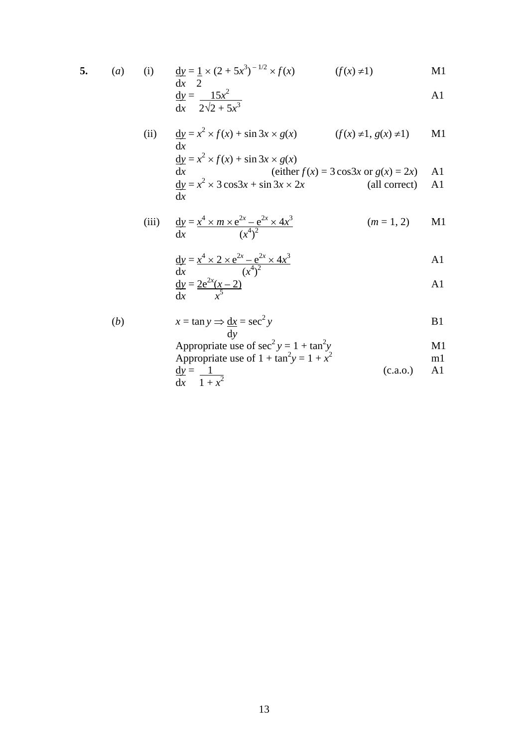$$
5. \qquad (a)
$$

(i) 
$$
\frac{dy}{dx} = \frac{1}{2} \times (2 + 5x^3)^{-1/2} \times f(x)
$$
  $(f(x) \neq 1)$  M1

$$
\frac{\mathrm{d}y}{\mathrm{d}x} = \frac{15x^2}{2\sqrt{2} + 5x^3}
$$

(ii) 
$$
\frac{dy}{dx} = x^2 \times f(x) + \sin 3x \times g(x)
$$
 (f(x)  $\neq$ 1, g(x)  $\neq$ 1) M1  
\n
$$
\frac{dy}{dx} = x^2 \times f(x) + \sin 3x \times g(x)
$$
  
\n(either f(x) = 3 cos3x or g(x) = 2x) A1  
\n
$$
\frac{dy}{dx} = x^2 \times 3 \cos 3x + \sin 3x \times 2x
$$
 (all correct) A1

(iii) 
$$
\frac{dy}{dx} = \frac{x^4 \times m \times e^{2x} - e^{2x} \times 4x^3}{(x^4)^2}
$$
 (*m* = 1, 2) M1

$$
\frac{dy}{dx} = \frac{x^4 \times 2 \times e^{2x} - e^{2x} \times 4x^3}{(x^4)^2}
$$

$$
\frac{dy}{dx} = \frac{2e^{2x}(x-2)}{x^5}
$$

(b) 
$$
x = \tan y \Rightarrow \frac{dx}{dy} = \sec^2 y
$$
 B1

Appropriate use of 
$$
\sec^2 y = 1 + \tan^2 y
$$
  
\nAppropriate use of  $1 + \tan^2 y = 1 + x^2$   
\n $\frac{dy}{dx} = \frac{1}{1 + x^2}$  (c.a.o.) A1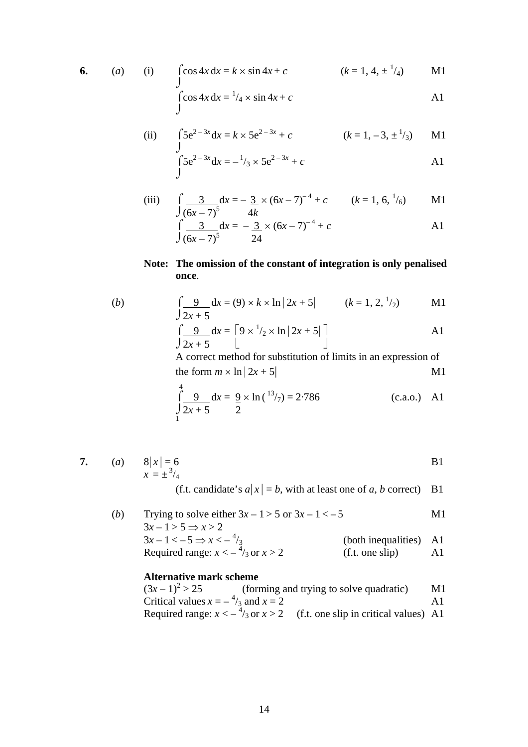$$
6. \qquad
$$

6. (a) (i) 
$$
\int \cos 4x \, dx = k \times \sin 4x + c
$$
  $(k = 1, 4, \pm \frac{1}{4})$  M1  
\n $\int \cos 4x \, dx = \frac{1}{4} \times \sin 4x + c$  A1

(ii) 
$$
\int 5e^{2-3x} dx = k \times 5e^{2-3x} + c
$$
  $(k = 1, -3, \pm \frac{1}{3})$  M1

$$
\int_{0}^{3} 5e^{2-3x} dx = -\frac{1}{3} \times 5e^{2-3x} + c
$$

(iii) 
$$
\int \frac{3}{(6x-7)^5} dx = -\frac{3}{4k} \times (6x-7)^{-4} + c \qquad (k = 1, 6, \frac{1}{6}) \qquad \text{M1}
$$

$$
\int \frac{3}{(6x-7)^5} dx = -\frac{3}{24} \times (6x-7)^{-4} + c
$$

## **Note: The omission of the constant of integration is only penalised once**.

(b) 
$$
\int \frac{9}{2x+5} dx = (9) \times k \times \ln |2x+5| \qquad (k = 1, 2, \frac{1}{2})
$$
 M1

$$
\int \frac{9}{2x+5} dx = \left[ 9 \times \frac{1}{2} \times \ln |2x+5| \right]
$$

A correct method for substitution of limits in an expression of the form  $m \times \ln |2x + 5|$  M1

$$
\int_{\frac{1}{2}}^{\frac{4}{2}} \frac{9}{2x+5} dx = \frac{9}{2} \times \ln(\frac{13}{7}) = 2.786
$$
 (c.a.o.) A1

7. (a) 
$$
8|x| = 6
$$
  
 $x = \pm \frac{3}{4}$  B1

(f.t. candidate's  $a|x| = b$ , with at least one of *a*, *b* correct) B1

(*b*) Trying to solve either  $3x - 1 > 5$  or  $3x - 1 < -5$  M1  $3x-1>5 \Rightarrow x>2$  $3x-1 < -5 \Rightarrow x < -1$ (both inequalities) A1 Required range:  $x < -\frac{4}{3}$  $(f.t. one slip)$   $A1$ 

## **Alternative mark scheme**

 $(3x-1)^2 > 25$  (forming and trying to solve quadratic) M1 Critical values  $x = -\frac{4}{3}$  and  $x = 2$  A1 Required range:  $x < -\frac{4}{3}$  or  $x > 2$  (f.t. one slip in critical values) A1